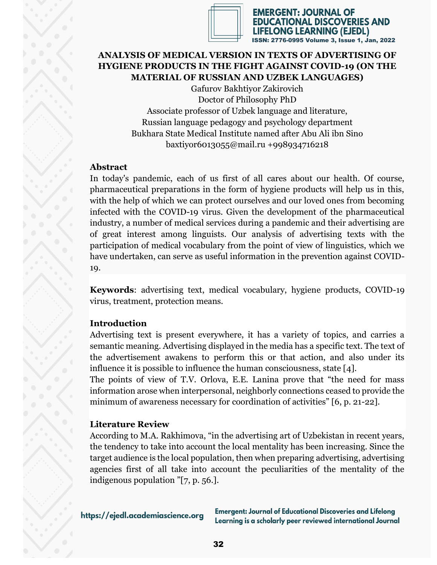

EMERGENT: JOURNAL OF TIONAL DISCOVERIES AND **FELONG LEARNING (EJEDL)** ISSN: 2776-0995 Volume 3, Issue 1, Jan, 2022

## **ANALYSIS OF MEDICAL VERSION IN TEXTS OF ADVERTISING OF HYGIENE PRODUCTS IN THE FIGHT AGAINST COVID-19 (ON THE MATERIAL OF RUSSIAN AND UZBEK LANGUAGES)**

Gafurov Bakhtiyor Zakirovich Doctor of Philosophy PhD Associate professor of Uzbek language and literature, Russian language pedagogy and psychology department Bukhara State Medical Institute named after Abu Ali ibn Sino baxtiyor6013055@mail.ru +998934716218

## **Abstract**

In today's pandemic, each of us first of all cares about our health. Of course, pharmaceutical preparations in the form of hygiene products will help us in this, with the help of which we can protect ourselves and our loved ones from becoming infected with the COVID-19 virus. Given the development of the pharmaceutical industry, a number of medical services during a pandemic and their advertising are of great interest among linguists. Our analysis of advertising texts with the participation of medical vocabulary from the point of view of linguistics, which we have undertaken, can serve as useful information in the prevention against COVID-19.

**Keywords**: advertising text, medical vocabulary, hygiene products, COVID-19 virus, treatment, protection means.

# **Introduction**

Advertising text is present everywhere, it has a variety of topics, and carries a semantic meaning. Advertising displayed in the media has a specific text. The text of the advertisement awakens to perform this or that action, and also under its influence it is possible to influence the human consciousness, state [4].

The points of view of T.V. Orlova, E.E. Lanina prove that "the need for mass information arose when interpersonal, neighborly connections ceased to provide the minimum of awareness necessary for coordination of activities" [6, p. 21-22].

# **Literature Review**

According to M.A. Rakhimova, "in the advertising art of Uzbekistan in recent years, the tendency to take into account the local mentality has been increasing. Since the target audience is the local population, then when preparing advertising, advertising agencies first of all take into account the peculiarities of the mentality of the indigenous population "[7, p. 56.].

https://ejedl.academiascience.org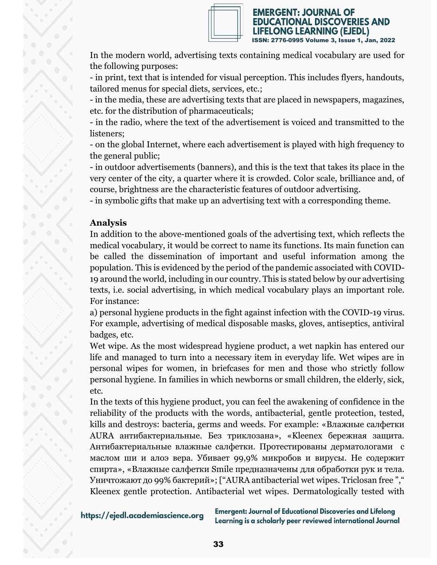

EMERGENT: JOURNAL OF **ONAL DISCOVERIES AND** LONG LEARNING (EJEDL) ISSN: 2776-0995 Volume 3, Issue 1, Jan, 2022

In the modern world, advertising texts containing medical vocabulary are used for the following purposes:

- in print, text that is intended for visual perception. This includes flyers, handouts, tailored menus for special diets, services, etc.;

- in the media, these are advertising texts that are placed in newspapers, magazines, etc. for the distribution of pharmaceuticals;

- in the radio, where the text of the advertisement is voiced and transmitted to the listeners;

- on the global Internet, where each advertisement is played with high frequency to the general public;

- in outdoor advertisements (banners), and this is the text that takes its place in the very center of the city, a quarter where it is crowded. Color scale, brilliance and, of course, brightness are the characteristic features of outdoor advertising.

- in symbolic gifts that make up an advertising text with a corresponding theme.

# **Analysis**

In addition to the above-mentioned goals of the advertising text, which reflects the medical vocabulary, it would be correct to name its functions. Its main function can be called the dissemination of important and useful information among the population. This is evidenced by the period of the pandemic associated with COVID-19 around the world, including in our country. This is stated below by our advertising texts, i.e. social advertising, in which medical vocabulary plays an important role. For instance:

a) personal hygiene products in the fight against infection with the COVID-19 virus. For example, advertising of medical disposable masks, gloves, antiseptics, antiviral badges, etc.

Wet wipe. As the most widespread hygiene product, a wet napkin has entered our life and managed to turn into a necessary item in everyday life. Wet wipes are in personal wipes for women, in briefcases for men and those who strictly follow personal hygiene. In families in which newborns or small children, the elderly, sick, etc.

In the texts of this hygiene product, you can feel the awakening of confidence in the reliability of the products with the words, antibacterial, gentle protection, tested, kills and destroys: bacteria, germs and weeds. For example: «Влажные салфетки AURA антибактериальные. Без триклозана», «Kleenex бережная защита. Антибактериальные влажные салфетки. Протестированы дерматологами с маслом ши и алоэ вера. Убивает 99,9% микробов и вирусы. Не содержит спирта», «Влажные салфетки Smile предназначены для обработки рук и тела. Уничтожают до 99% бактерий»; ["AURA antibacterial wet wipes. Triclosan free "," Kleenex gentle protection. Antibacterial wet wipes. Dermatologically tested with

https://ejedl.academiascience.org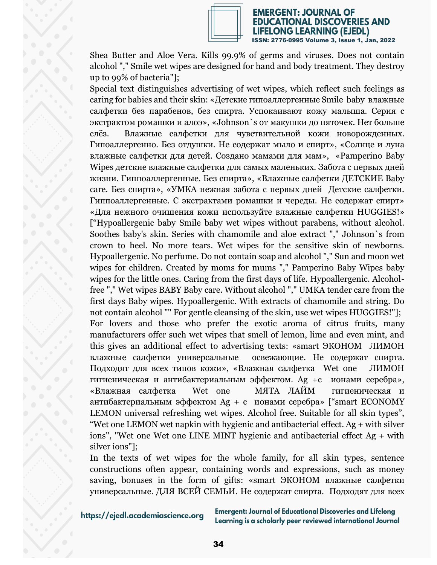

# EMERGENT: JOURNAL OF ATIONAL DISCOVERIES AND LIFELONG LEARNING (EJEDL)<br>ISSN: 2776-0995 Volume 3, Issue 1, Jan, 2022

Shea Butter and Aloe Vera. Kills 99.9% of germs and viruses. Does not contain alcohol "," Smile wet wipes are designed for hand and body treatment. They destroy up to 99% of bacteria"];

Special text distinguishes advertising of wet wipes, which reflect such feelings as caring for babies and their skin: «Детские гипоаллергенные Smile baby влажные салфетки без парабенов, без спирта. Успокаивают кожу малыша. Серия с экстрактом ромашки и алоэ», «Johnson`s от макушки до пяточек. Нет больше слёз. Влажные салфетки для чувствительной кожи новорожденных. Гипоаллергенно. Без отдушки. Не содержат мыло и спирт», «Солнце и луна влажные салфетки для детей. Создано мамами для мам», «Pamperino Baby Wipes детские влажные салфетки для самых маленьких. Забота с первых дней жизни. Гиппоаллергенные. Без спирта», «Влажные салфетки ДЕТСКИЕ Baby care. Без спирта», «УМКА нежная забота с первых дней Детские салфетки. Гиппоаллергенные. С экстрактами ромашки и череды. Не содержат спирт» «Для нежного очишения кожи используйте влажные салфетки HUGGIES!» ["Hypoallergenic baby Smile baby wet wipes without parabens, without alcohol. Soothes baby's skin. Series with chamomile and aloe extract "," Johnson`s from crown to heel. No more tears. Wet wipes for the sensitive skin of newborns. Hypoallergenic. No perfume. Do not contain soap and alcohol "," Sun and moon wet wipes for children. Created by moms for mums "," Pamperino Baby Wipes baby wipes for the little ones. Caring from the first days of life. Hypoallergenic. Alcoholfree "," Wet wipes BABY Baby care. Without alcohol "," UMKA tender care from the first days Baby wipes. Hypoallergenic. With extracts of chamomile and string. Do not contain alcohol "" For gentle cleansing of the skin, use wet wipes HUGGIES!"]; For lovers and those who prefer the exotic aroma of citrus fruits, many manufacturers offer such wet wipes that smell of lemon, lime and even mint, and this gives an additional effect to advertising texts: «smart ЭКОНОМ ЛИМОН влажные салфетки универсальные освежающие. Не содержат спирта. Подходят для всех типов кожи», «Влажная салфетка Wet one ЛИМОН гигиеническая и антибактериальным эффектом. Ag +c ионами серебра», «Влажная салфетка Wet one МЯТА ЛАЙМ гигиеническая и антибактериальным эффектом Ag + c ионами серебра» ["smart ECONOMY LEMON universal refreshing wet wipes. Alcohol free. Suitable for all skin types", "Wet one LEMON wet napkin with hygienic and antibacterial effect. Ag + with silver ions", "Wet one Wet one LINE MINT hygienic and antibacterial effect Ag + with silver ions"];

In the texts of wet wipes for the whole family, for all skin types, sentence constructions often appear, containing words and expressions, such as money saving, bonuses in the form of gifts: «smart ЭКОНОМ влажные салфетки универсальные. ДЛЯ ВСЕЙ СЕМЬИ. Не содержат спирта. Подходят для всех

https://ejedl.academiascience.org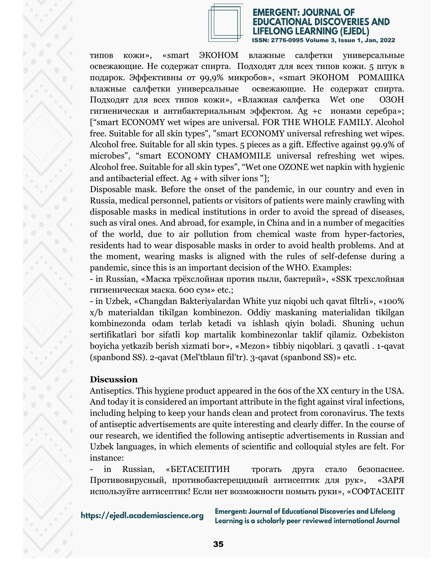

#### EMERGENT: JOURNAL OF DUCATIONAL DISCOVERIES AND **FELONG LEARNING (EJEDL)** ISSN: 2776-0995 Volume 3, Issue 1, Jan, 2022

типов кожи», «smart ЭКОНОМ влажные салфетки универсальные освежающие. Не содержат спирта. Подходят для всех типов кожи. 5 штук в подарок. Эффективны от 99,9% микробов», «smart ЭКОНОМ РОМАШКА влажные салфетки универсальные освежающие. Не содержат спирта. Подходят для всех типов кожи», «Влажная салфетка Wet one ОЗОН гигиеническая и антибактериальным эффектом. Ag +c ионами серебра»; ["smart ECONOMY wet wipes are universal. FOR THE WHOLE FAMILY. Alcohol free. Suitable for all skin types", "smart ECONOMY universal refreshing wet wipes. Alcohol free. Suitable for all skin types. 5 pieces as a gift. Effective against 99.9% of microbes", "smart ECONOMY CHAMOMILE universal refreshing wet wipes. Alcohol free. Suitable for all skin types", "Wet one OZONE wet napkin with hygienic and antibacterial effect.  $Ag + with silver ions$ "];

Disposable mask. Before the onset of the pandemic, in our country and even in Russia, medical personnel, patients or visitors of patients were mainly crawling with disposable masks in medical institutions in order to avoid the spread of diseases, such as viral ones. And abroad, for example, in China and in a number of megacities of the world, due to air pollution from chemical waste from hyper-factories, residents had to wear disposable masks in order to avoid health problems. And at the moment, wearing masks is aligned with the rules of self-defense during a pandemic, since this is an important decision of the WHO. Examples:

- in Russian, «Маска трёхслойная против пыли, бактерий», «SSK трехслойная гигиеническая маска. 600 сум» etc.;

- in Uzbek, «Changdan Bakteriyalardan White yuz niqobi uch qavat filtrli», «100% x/b materialdan tikilgan kombinezon. Oddiy maskaning materialidan tikilgan kombinezonda odam terlab ketadi va ishlash qiyin boladi. Shuning uchun sertifikatlari bor sifatli kop martalik kombinezonlar taklif qilamiz. Ozbekiston boyicha yetkazib berish xizmati bor», «Mezon» tibbiy niqoblari. 3 qavatli . 1-qavat (spanbond SS). 2-qavat (Mel'tblaun fil'tr). 3-qavat (spanbond SS)» etc.

### **Discussion**

Antiseptics. This hygiene product appeared in the 60s of the XX century in the USA. And today it is considered an important attribute in the fight against viral infections, including helping to keep your hands clean and protect from coronavirus. The texts of antiseptic advertisements are quite interesting and clearly differ. In the course of our research, we identified the following antiseptic advertisements in Russian and Uzbek languages, in which elements of scientific and colloquial styles are felt. For instance:

in Russian, «БЕТАСЕПТИН трогать друга стало безопаснее. Противовирусный, противобактерецидный антисептик для рук», «ЗАРЯ используйте антисептик! Если нет возможности помыть руки», «СОФТАСЕПТ

https://ejedl.academiascience.org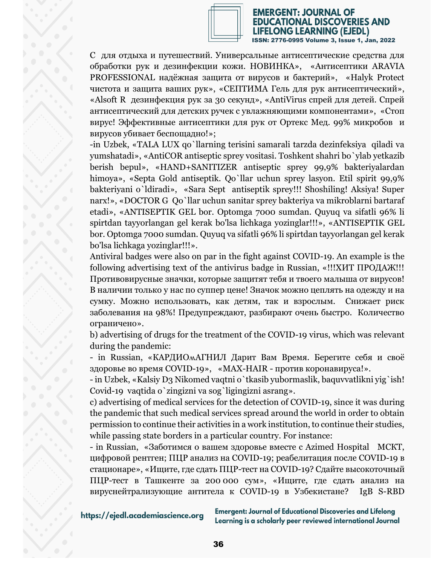

# EMERGENT: JOURNAL OF **EDUCATIONAL DISCOVERIES AND** LIFELONG LEARNING (EJEDL)<br>ISSN: 2776-0995 Volume 3, Issue 1, Jan, 2022

С для отдыха и путешествий. Универсальные антисептические средства для обработки рук и дезинфекции кожи. НОВИНКА», «Антисептики ARAVIA PROFESSIONAL надёжная защита от вирусов и бактерий», «Halyk Protect чистота и защита ваших рук», «СЕПТИМА Гель для рук антисептический», «Alsoft R дезинфекция рук за 30 секунд», «AntiVirus спрей для детей. Спрей антисептический для детских ручек с увлажняющими компонентами», «Стоп вирус! Эффективные антисептики для рук от Ортекс Мед. 99% микробов и вирусов убивает беспощадно!»;

-in Uzbek, «TALA LUX qo`llarning terisini samarali tarzda dezinfeksiya qiladi va yumshatadi», «AntiCOR antiseptic sprey vositasi. Toshkent shahri bo`ylab yetkazib berish bepul», «HAND+SANITIZER antiseptic sprey 99,9% bakteriyalardan himoya», «Septa Gold antiseptik. Qo`llar uchun sprey lasyon. Etil spirit 99,9% bakteriyani o`ldiradi», «Sara Sept antiseptik sprey!!! Shoshiling! Aksiya! Super narx!», «DOCTOR G Qo`llar uchun sanitar sprey bakteriya va mikroblarni bartaraf etadi», «ANTISEPTIK GEL bor. Optomga 7000 sumdan. Quyuq va sifatli 96% li spirtdan tayyorlangan gel kerak bo'lsa lichkaga yoziпglar!!!», «ANTISEPTIK GEL bor. Optomga 7000 sumdan. Quyuq va sifatli 96% li spirtdan tayyorlangan gel kerak bo'lsa lichkaga yoziпglar!!!».

Antiviral badges were also on par in the fight against COVID-19. An example is the following advertising text of the antivirus badge in Russian, «!!!ХИТ ПРОДАЖ!!! Противовирусные значки, которые защитят тебя и твоего малыша от вирусов! В наличии только у нас по суппер цене! Значок можно цеплять на одежду и на сумку. Можно использовать, как детям, так и взрослым. Снижает риск заболевания на 98%! Предупреждают, разбирают очень быстро. Количество ограничено».

b) advertising of drugs for the treatment of the COVID-19 virus, which was relevant during the pandemic:

- in Russian, «КАРДИОмАГНИЛ Дарит Вам Время. Берегите себя и своё здоровье во время COVID-19», «MAX-HAIR - против коронавируса!».

- in Uzbek, «Kalsiy D3 Nikomed vaqtni o`tkasib yubormaslik, baquvvatlikni yig`ish! Covid-19 vaqtida o`zingizni va sog`ligingizni asrang».

c) advertising of medical services for the detection of COVID-19, since it was during the pandemic that such medical services spread around the world in order to obtain permission to continue their activities in a work institution, to continue their studies, while passing state borders in a particular country. For instance:

- in Russian, «Заботимся о вашем здоровье вместе с Azimed Hospital МСКТ, цифровой рентген; ПЦР анализ на COVID-19; реабелитация после COVID-19 в стационаре», «Ищите, где сдать ПЦР-тест на COVID-19? Сдайте высокоточный ПЦР-тест в Ташкенте за 200 000 сум», «Ищите, где сдать анализ на вируснейтрализующие антитела к COVID-19 в Узбекистане? IgB S-RBD

https://ejedl.academiascience.org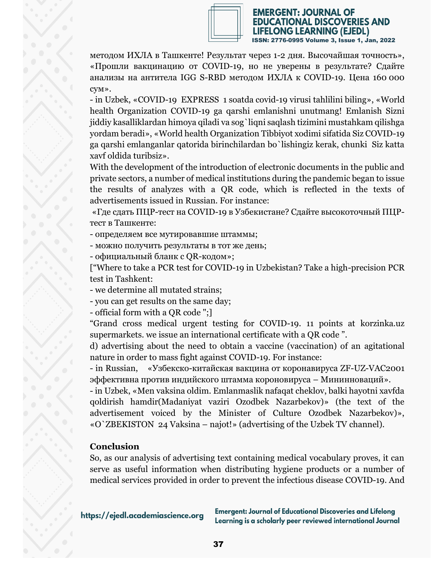

#### EMERGENT: JOURNAL OF **TIONAL DISCOVERIES AND** LONG LEARNING (EJEDL) ISSN: 2776-0995 Volume 3, Issue 1, Jan, 2022

методом ИХЛА в Ташкенте! Результат через 1-2 дня. Высочайшая точность», «Прошли вакцинацию от COVID-19, но не уверены в результате? Сдайте анализы на антитела IGG S-RBD методом ИХЛА к СOVID-19. Цена 160 000 сум».

- in Uzbek, «COVID-19 EXPRESS 1 soatda covid-19 virusi tahlilini biling», «World health Organization COVID-19 ga qarshi emlanishni unutmang! Emlanish Sizni jiddiy kasalliklardan himoya qiladi va sog`liqni saqlash tizimini mustahkam qilishga yordam beradi», «World health Organization Tibbiyot xodimi sifatida Siz COVID-19 ga qarshi emlanganlar qatorida birinchilardan bo`lishingiz kerak, chunki Siz katta xavf oldida turibsiz».

With the development of the introduction of electronic documents in the public and private sectors, a number of medical institutions during the pandemic began to issue the results of analyzes with a QR code, which is reflected in the texts of advertisements issued in Russian. For instance:

«Где сдать ПЦР-тест на COVID-19 в Узбекистане? Сдайте высокоточный ПЦРтест в Ташкенте:

- определяем все мутировавшие штаммы;

- можно получить результаты в тот же день;

- официальный бланк с QR-кодом»;

["Where to take a PCR test for COVID-19 in Uzbekistan? Take a high-precision PCR test in Tashkent:

- we determine all mutated strains;

- you can get results on the same day;

- official form with a QR code ";]

"Grand cross medical urgent testing for COVID-19. 11 points at korzinka.uz supermarkets. we issue an international certificate with a QR code ".

d) advertising about the need to obtain a vaccine (vaccination) of an agitational nature in order to mass fight against COVID-19. For instance:

- in Russian, «Узбекско-китайская вакцина от коронавируса ZF-UZ-VAC2001 эффективна против индийского штамма короновируса – Мининноваций».

- in Uzbek, «Мen vaksina oldim. Emlanmaslik nafaqat cheklov, balki hayotni xavfda qoldirish hamdir(Madaniyat vaziri Ozodbek Nazarbekov)» (the text of the advertisement voiced by the Minister of Culture Ozodbek Nazarbekov)», «O`ZBEKISTON 24 Vaksina – najot!» (advertising of the Uzbek TV channel).

# **Conclusion**

So, as our analysis of advertising text containing medical vocabulary proves, it can serve as useful information when distributing hygiene products or a number of medical services provided in order to prevent the infectious disease COVID-19. And

https://ejedl.academiascience.org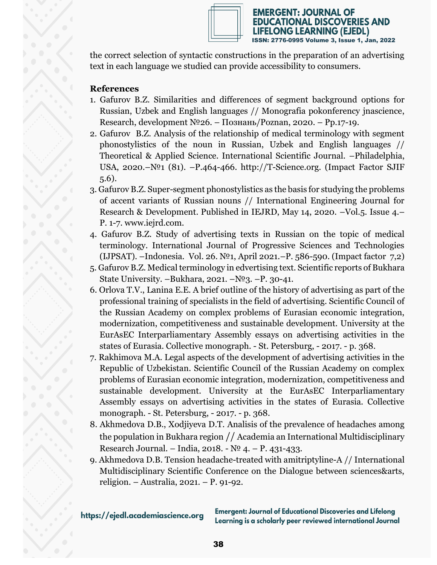

the correct selection of syntactic constructions in the preparation of an advertising text in each language we studied can provide accessibility to consumers.

## **References**

- 1. Gafurov B.Z. Similarities and differences of segment background options for Russian, Uzbek and English languages // Monografia pokonferency jnascience, Research, development №26. – Познань/Poznan, 2020. – Pp.17-19.
- 2. Gafurov B.Z. Analysis of the relationship of medical terminology with segment phonostylistics of the noun in Russian, Uzbek and English languages // Theoretical & Applied Science. International Scientific Journal. –Philadelphia, USA, 2020.–№1 (81). –Р.464-466. http://T-Science.org. (Impact Factor SJIF 5.6).
- 3. Gafurov B.Z. Super-segment phonostylistics as the basis for studying the problems of accent variants of Russian nouns // International Engineering Journal for Research & Development. Published in IEJRD, May 14, 2020. –Vol.5. Issue 4.– Р. 1-7. www.iejrd.com.
- 4. Gafurov B.Z. Study of advertising texts in Russian on the topic of medical terminology. International Journal of Progressive Sciences and Technologies (IJPSAT). –Indonesia. Vol. 26. №1, April 2021.–P. 586-590. (Impact factor 7,2)
- 5. Gafurov B.Z. Medical terminology in edvertising text. Scientific reports of Bukhara State University. –Bukhara, 2021. – $N<sup>0</sup>3$ . –P. 30-41.
- 6. Orlova T.V., Lanina E.E. A brief outline of the history of advertising as part of the professional training of specialists in the field of advertising. Scientific Council of the Russian Academy on complex problems of Eurasian economic integration, modernization, competitiveness and sustainable development. University at the EurAsEC Interparliamentary Assembly essays on advertising activities in the states of Eurasia. Collective monograph. - St. Petersburg, - 2017. - p. 368.
- 7. Rakhimova M.A. Legal aspects of the development of advertising activities in the Republic of Uzbekistan. Scientific Council of the Russian Academy on complex problems of Eurasian economic integration, modernization, competitiveness and sustainable development. University at the EurAsEC Interparliamentary Assembly essays on advertising activities in the states of Eurasia. Collective monograph. - St. Petersburg, - 2017. - p. 368.
- 8. Akhmedova D.B., Xodjiyeva D.T. Analisis of the prevalence of headaches among the population in Bukhara region // Academia an International Multidisciplinary Research Journal. – India, 2018. - № 4. – Р. 431-433.
- 9. Akhmedova D.B. Tension headache-treated with amitriptyline-A // International Multidisciplinary Scientific Conference on the Dialogue between sciences&arts, religion. – Australia, 2021. – Р. 91-92.

https://ejedl.academiascience.org